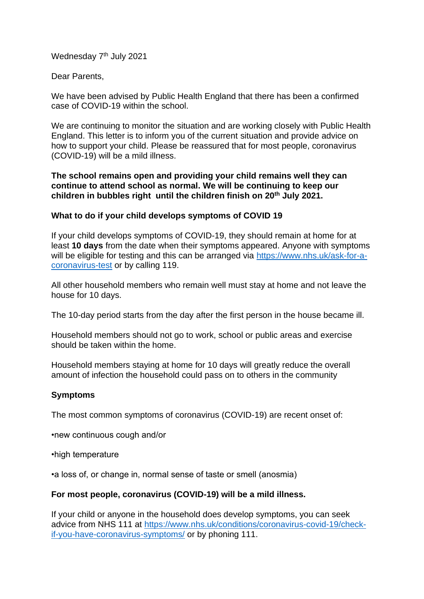Wednesday 7<sup>th</sup> July 2021

Dear Parents,

We have been advised by Public Health England that there has been a confirmed case of COVID-19 within the school.

We are continuing to monitor the situation and are working closely with Public Health England. This letter is to inform you of the current situation and provide advice on how to support your child. Please be reassured that for most people, coronavirus (COVID-19) will be a mild illness.

**The school remains open and providing your child remains well they can continue to attend school as normal. We will be continuing to keep our children in bubbles right until the children finish on 20th July 2021.**

### **What to do if your child develops symptoms of COVID 19**

If your child develops symptoms of COVID-19, they should remain at home for at least **10 days** from the date when their symptoms appeared. Anyone with symptoms will be eligible for testing and this can be arranged via [https://www.nhs.uk/ask-for-a](https://www.nhs.uk/ask-for-a-coronavirus-test)[coronavirus-test](https://www.nhs.uk/ask-for-a-coronavirus-test) or by calling 119.

All other household members who remain well must stay at home and not leave the house for 10 days.

The 10-day period starts from the day after the first person in the house became ill.

Household members should not go to work, school or public areas and exercise should be taken within the home.

Household members staying at home for 10 days will greatly reduce the overall amount of infection the household could pass on to others in the community

## **Symptoms**

The most common symptoms of coronavirus (COVID-19) are recent onset of:

•new continuous cough and/or

•high temperature

•a loss of, or change in, normal sense of taste or smell (anosmia)

## **For most people, coronavirus (COVID-19) will be a mild illness.**

If your child or anyone in the household does develop symptoms, you can seek advice from NHS 111 at [https://www.nhs.uk/conditions/coronavirus-covid-19/check](https://www.nhs.uk/conditions/coronavirus-covid-19/check-if-you-have-coronavirus-symptoms/)[if-you-have-coronavirus-symptoms/](https://www.nhs.uk/conditions/coronavirus-covid-19/check-if-you-have-coronavirus-symptoms/) or by phoning 111.